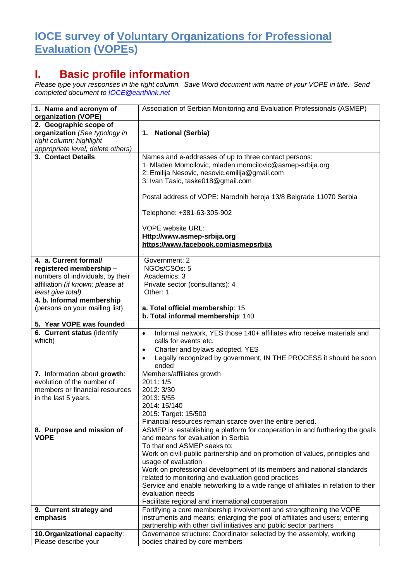## **IOCE survey of Voluntary Organizations for Professional Evaluation (VOPEs)**

## **I. Basic profile information**

*Please type your responses in the right column. Save Word document with name of your VOPE in title. Send completed document to [IOCE@earthlink.net](mailto:IOCE@earthlink.net)*

| 1. Name and acronym of<br>organization (VOPE)                                                                                                                                                               | Association of Serbian Monitoring and Evaluation Professionals (ASMEP)                                                                                                                                                                                                                                                                                                                                                                                                                                                                                |
|-------------------------------------------------------------------------------------------------------------------------------------------------------------------------------------------------------------|-------------------------------------------------------------------------------------------------------------------------------------------------------------------------------------------------------------------------------------------------------------------------------------------------------------------------------------------------------------------------------------------------------------------------------------------------------------------------------------------------------------------------------------------------------|
| 2. Geographic scope of<br>organization (See typology in<br>right column; highlight<br>appropriate level, delete others)                                                                                     | 1. National (Serbia)                                                                                                                                                                                                                                                                                                                                                                                                                                                                                                                                  |
| 3. Contact Details                                                                                                                                                                                          | Names and e-addresses of up to three contact persons:<br>1: Mladen Momcilovic, mladen.momcilovic@asmep-srbija.org<br>2: Emilija Nesovic, nesovic.emilija@gmail.com<br>3: Ivan Tasic, taske018@gmail.com<br>Postal address of VOPE: Narodnih heroja 13/8 Belgrade 11070 Serbia<br>Telephone: +381-63-305-902<br><b>VOPE website URL:</b><br>Http://www.asmep-srbija.org<br>https://www.facebook.com/asmepsrbija                                                                                                                                        |
| 4. a. Current formal/<br>registered membership-<br>numbers of individuals, by their<br>affiliation (if known; please at<br>least give total)<br>4. b. Informal membership<br>(persons on your mailing list) | Government: 2<br>NGOs/CSOs: 5<br>Academics: 3<br>Private sector (consultants): 4<br>Other: 1<br>a. Total official membership: 15                                                                                                                                                                                                                                                                                                                                                                                                                      |
| 5. Year VOPE was founded                                                                                                                                                                                    | b. Total informal membership: 140                                                                                                                                                                                                                                                                                                                                                                                                                                                                                                                     |
| 6. Current status (identify<br>which)                                                                                                                                                                       | Informal network, YES those 140+ affiliates who receive materials and<br>$\bullet$<br>calls for events etc.<br>Charter and bylaws adopted, YES<br>$\bullet$<br>Legally recognized by government, IN THE PROCESS it should be soon<br>$\bullet$<br>ended                                                                                                                                                                                                                                                                                               |
| 7. Information about growth:<br>evolution of the number of<br>members or financial resources<br>in the last 5 years.                                                                                        | Members/affiliates growth<br>2011: 1/5<br>2012: 3/30<br>2013: 5/55<br>2014: 15/140<br>2015: Target: 15/500<br>Financial resources remain scarce over the entire period.                                                                                                                                                                                                                                                                                                                                                                               |
| 8. Purpose and mission of<br><b>VOPE</b>                                                                                                                                                                    | ASMEP is establishing a platform for cooperation in and furthering the goals<br>and means for evaluation in Serbia<br>To that end ASMEP seeks to:<br>Work on civil-public partnership and on promotion of values, principles and<br>usage of evaluation<br>Work on professional development of its members and national standards<br>related to monitoring and evaluation good practices<br>Service and enable networking to a wide range of affiliates in relation to their<br>evaluation needs<br>Facilitate regional and international cooperation |
| 9. Current strategy and<br>emphasis                                                                                                                                                                         | Fortifying a core membership involvement and strengthening the VOPE<br>instruments and means; enlarging the pool of affiliates and users; entering                                                                                                                                                                                                                                                                                                                                                                                                    |
|                                                                                                                                                                                                             | partnership with other civil initiatives and public sector partners                                                                                                                                                                                                                                                                                                                                                                                                                                                                                   |
| 10. Organizational capacity:<br>Please describe your                                                                                                                                                        | Governance structure: Coordinator selected by the assembly, working<br>bodies chaired by core members                                                                                                                                                                                                                                                                                                                                                                                                                                                 |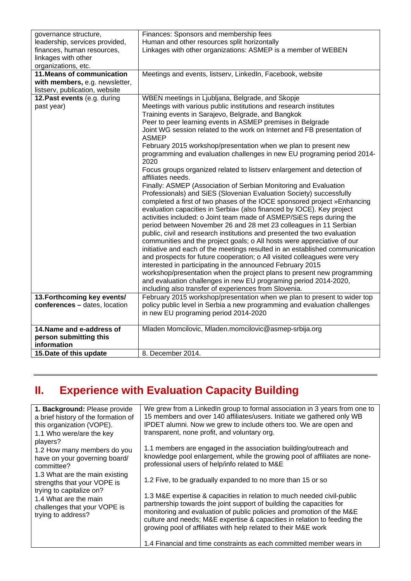| governance structure,          | Finances: Sponsors and membership fees                                       |
|--------------------------------|------------------------------------------------------------------------------|
| leadership, services provided, | Human and other resources split horizontally                                 |
| finances, human resources,     | Linkages with other organizations: ASMEP is a member of WEBEN                |
| linkages with other            |                                                                              |
| organizations, etc.            |                                                                              |
| 11. Means of communication     | Meetings and events, listserv, LinkedIn, Facebook, website                   |
| with members, e.g. newsletter, |                                                                              |
| listserv, publication, website |                                                                              |
| 12. Past events (e.g. during   | WBEN meetings in Ljubljana, Belgrade, and Skopje                             |
| past year)                     | Meetings with various public institutions and research institutes            |
|                                | Training events in Sarajevo, Belgrade, and Bangkok                           |
|                                | Peer to peer learning events in ASMEP premises in Belgrade                   |
|                                | Joint WG session related to the work on Internet and FB presentation of      |
|                                | <b>ASMEP</b>                                                                 |
|                                | February 2015 workshop/presentation when we plan to present new              |
|                                | programming and evaluation challenges in new EU programing period 2014-      |
|                                | 2020                                                                         |
|                                | Focus groups organized related to listserv enlargement and detection of      |
|                                | affiliates needs.                                                            |
|                                | Finally: ASMEP (Association of Serbian Monitoring and Evaluation             |
|                                | Professionals) and SiES (Slovenian Evaluation Society) successfully          |
|                                | completed a first of two phases of the IOCE sponsored project »Enhancing     |
|                                | evaluation capacities in Serbia« (also financed by IOCE). Key project        |
|                                | activities included: o Joint team made of ASMEP/SiES reps during the         |
|                                | period between November 26 and 28 met 23 colleagues in 11 Serbian            |
|                                | public, civil and research institutions and presented the two evaluation     |
|                                | communities and the project goals; o All hosts were appreciative of our      |
|                                | initiative and each of the meetings resulted in an established communication |
|                                | and prospects for future cooperation; o All visited colleagues were very     |
|                                | interested in participating in the announced February 2015                   |
|                                | workshop/presentation when the project plans to present new programming      |
|                                | and evaluation challenges in new EU programing period 2014-2020,             |
|                                | including also transfer of experiences from Slovenia.                        |
| 13. Forthcoming key events/    | February 2015 workshop/presentation when we plan to present to wider top     |
| conferences - dates, location  | policy public level in Serbia a new programming and evaluation challenges    |
|                                | in new EU programing period 2014-2020                                        |
|                                |                                                                              |
| 14. Name and e-address of      | Mladen Momcilovic, Mladen.momcilovic@asmep-srbija.org                        |
| person submitting this         |                                                                              |
| information                    |                                                                              |
| 15. Date of this update        | 8. December 2014.                                                            |

## **II. Experience with Evaluation Capacity Building**

| 1. Background: Please provide<br>a brief history of the formation of<br>this organization (VOPE).<br>1.1 Who were/are the key<br>players?<br>1.2 How many members do you<br>have on your governing board/<br>committee?<br>1.3 What are the main existing<br>strengths that your VOPE is<br>trying to capitalize on?<br>1.4 What are the main<br>challenges that your VOPE is<br>trying to address? | We grew from a LinkedIn group to formal association in 3 years from one to<br>15 members and over 140 affiliates/users. Initiate we gathered only WB<br>IPDET alumni. Now we grew to include others too. We are open and<br>transparent, none profit, and voluntary org.                                                                                              |
|-----------------------------------------------------------------------------------------------------------------------------------------------------------------------------------------------------------------------------------------------------------------------------------------------------------------------------------------------------------------------------------------------------|-----------------------------------------------------------------------------------------------------------------------------------------------------------------------------------------------------------------------------------------------------------------------------------------------------------------------------------------------------------------------|
|                                                                                                                                                                                                                                                                                                                                                                                                     | 1.1 members are engaged in the association building/outreach and<br>knowledge pool enlargement, while the growing pool of affiliates are none-<br>professional users of help/info related to M&E                                                                                                                                                                      |
|                                                                                                                                                                                                                                                                                                                                                                                                     | 1.2 Five, to be gradually expanded to no more than 15 or so                                                                                                                                                                                                                                                                                                           |
|                                                                                                                                                                                                                                                                                                                                                                                                     | 1.3 M&E expertise & capacities in relation to much needed civil-public<br>partnership towards the joint support of building the capacities for<br>monitoring and evaluation of public policies and promotion of the M&E<br>culture and needs; M&E expertise & capacities in relation to feeding the<br>growing pool of affiliates with help related to their M&E work |
|                                                                                                                                                                                                                                                                                                                                                                                                     | 1.4 Financial and time constraints as each committed member wears in                                                                                                                                                                                                                                                                                                  |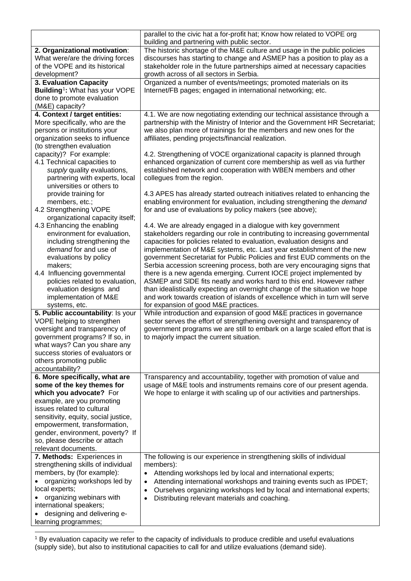|                                                      | parallel to the civic hat a for-profit hat; Know how related to VOPE org                                                                        |
|------------------------------------------------------|-------------------------------------------------------------------------------------------------------------------------------------------------|
|                                                      | building and partnering with public sector.                                                                                                     |
| 2. Organizational motivation:                        | The historic shortage of the M&E culture and usage in the public policies                                                                       |
| What were/are the driving forces                     | discourses has starting to change and ASMEP has a position to play as a                                                                         |
| of the VOPE and its historical                       | stakeholder role in the future partnerships aimed at necessary capacities                                                                       |
| development?                                         | growth across of all sectors in Serbia.                                                                                                         |
| 3. Evaluation Capacity                               | Organized a number of events/meetings; promoted materials on its                                                                                |
| Building <sup>1</sup> : What has your VOPE           | Internet/FB pages; engaged in international networking; etc.                                                                                    |
| done to promote evaluation                           |                                                                                                                                                 |
| (M&E) capacity?                                      |                                                                                                                                                 |
| 4. Context / target entities:                        | 4.1. We are now negotiating extending our technical assistance through a                                                                        |
| More specifically, who are the                       | partnership with the Ministry of Interior and the Government HR Secretariat;                                                                    |
| persons or institutions your                         | we also plan more of trainings for the members and new ones for the                                                                             |
| organization seeks to influence                      | affiliates, pending projects/financial realization.                                                                                             |
| (to strengthen evaluation                            |                                                                                                                                                 |
| capacity)? For example:                              | 4.2. Strengthening of VOCE organizational capacity is planned through                                                                           |
| 4.1 Technical capacities to                          | enhanced organization of current core membership as well as via further                                                                         |
| supply quality evaluations,                          | established network and cooperation with WBEN members and other                                                                                 |
| partnering with experts, local                       | collegues from the region.                                                                                                                      |
| universities or others to                            |                                                                                                                                                 |
| provide training for                                 | 4.3 APES has already started outreach initiatives related to enhancing the                                                                      |
| members, etc.;                                       | enabling environment for evaluation, including strengthening the demand                                                                         |
| 4.2 Strengthening VOPE                               | for and use of evaluations by policy makers (see above);                                                                                        |
| organizational capacity itself;                      |                                                                                                                                                 |
| 4.3 Enhancing the enabling                           | 4.4. We are already engaged in a dialogue with key government                                                                                   |
| environment for evaluation,                          | stakeholders regarding our role in contributing to increasing governmental                                                                      |
| including strengthening the<br>demand for and use of | capacities for policies related to evaluation, evaluation designs and                                                                           |
|                                                      | implementation of M&E systems, etc. Last year establishment of the new                                                                          |
| evaluations by policy<br>makers;                     | government Secretariat for Public Policies and first EUD comments on the                                                                        |
| 4.4 Influencing governmental                         | Serbia accession screening process, both are very encouraging signs that<br>there is a new agenda emerging. Current IOCE project implemented by |
| policies related to evaluation,                      | ASMEP and SIDE fits neatly and works hard to this end. However rather                                                                           |
| evaluation designs and                               | than idealistically expecting an overnight change of the situation we hope                                                                      |
| implementation of M&E                                | and work towards creation of islands of excellence which in turn will serve                                                                     |
| systems, etc.                                        | for expansion of good M&E practices.                                                                                                            |
| 5. Public accountability: Is your                    | While introduction and expansion of good M&E practices in governance                                                                            |
| VOPE helping to strengthen                           | sector serves the effort of strengthening oversight and transparency of                                                                         |
| oversight and transparency of                        | government programs we are still to embark on a large scaled effort that is                                                                     |
| government programs? If so, in                       | to majorly impact the current situation.                                                                                                        |
| what ways? Can you share any                         |                                                                                                                                                 |
| success stories of evaluators or                     |                                                                                                                                                 |
| others promoting public                              |                                                                                                                                                 |
| accountability?                                      |                                                                                                                                                 |
| 6. More specifically, what are                       | Transparency and accountability, together with promotion of value and                                                                           |
| some of the key themes for                           | usage of M&E tools and instruments remains core of our present agenda.                                                                          |
| which you advocate? For                              | We hope to enlarge it with scaling up of our activities and partnerships.                                                                       |
| example, are you promoting                           |                                                                                                                                                 |
| issues related to cultural                           |                                                                                                                                                 |
| sensitivity, equity, social justice,                 |                                                                                                                                                 |
| empowerment, transformation,                         |                                                                                                                                                 |
| gender, environment, poverty? If                     |                                                                                                                                                 |
| so, please describe or attach                        |                                                                                                                                                 |
| relevant documents.                                  |                                                                                                                                                 |
| 7. Methods: Experiences in                           | The following is our experience in strengthening skills of individual                                                                           |
| strengthening skills of individual                   | members):                                                                                                                                       |
| members, by (for example):                           | Attending workshops led by local and international experts;<br>$\bullet$                                                                        |
| organizing workshops led by                          | Attending international workshops and training events such as IPDET;<br>$\bullet$                                                               |
| local experts;                                       | Ourselves organizing workshops led by local and international experts;<br>$\bullet$                                                             |
| organizing webinars with                             | Distributing relevant materials and coaching.<br>$\bullet$                                                                                      |
| international speakers;                              |                                                                                                                                                 |
| designing and delivering e-                          |                                                                                                                                                 |
| learning programmes;                                 |                                                                                                                                                 |

<span id="page-2-0"></span><sup>1</sup> By evaluation capacity we refer to the capacity of individuals to produce credible and useful evaluations (supply side), but also to institutional capacities to call for and utilize evaluations (demand side). j